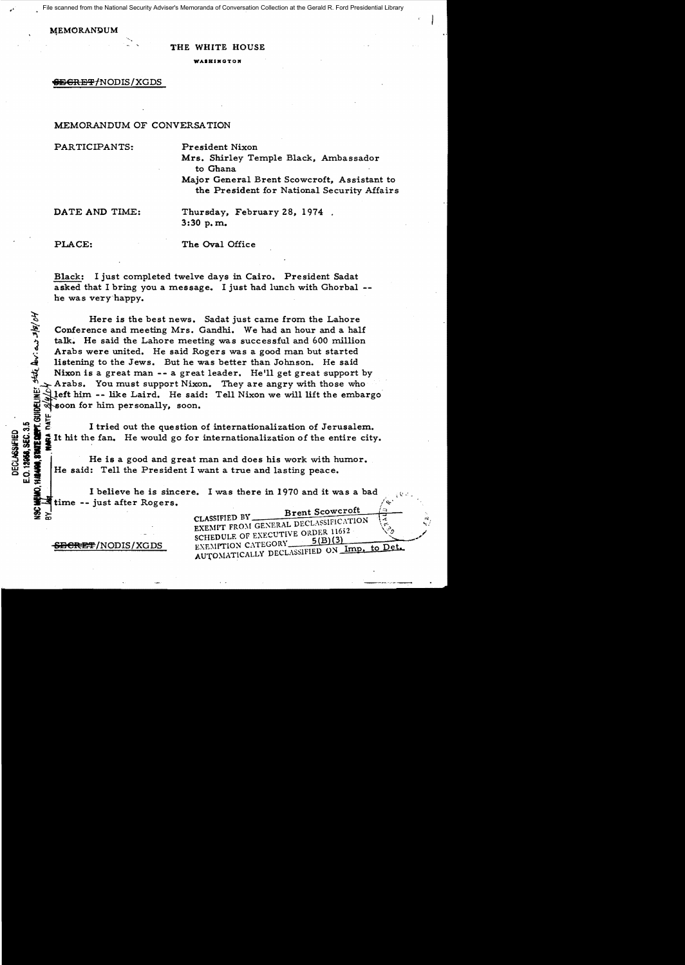ile scanned from the National Security Adviser's Memoranda of Conversation Collection at the Gerald R. Ford Presidential Library

#### !4EMORAN9UM

*r'* 

#### THE WHITE HOUSE

**WAIHINGTON** 

# <del>SEGRET/</del>NODIS/XGDS

# MEMORANDUM OF CONVERSATION

PARTICIPANTS: President Nixon

Mrs. Shirley Temple Black, Ambassador to Ghana

Major General Brent Scowcroft, Assistant to the President for National Security Affairs

DATE AND TIME: Thursday, February 28, 1974. 3:30 p. m.

 $\vec{\bf z}$ 

declassified<br>). 18958, Sec. (

E.O.<br>KAN

PLACE: The Oval Office

Black: I just completed twelve days in Cairo. President Sadat asked that I bring you a message. I just had lunch with Ghorbal he was very happy.

Here is the best news. Sadat just carne from the Lahore Conference and meeting Mrs. Gandhi. We had an hour and a half talk. He said the Lahore meeting was successful and 600 million Arabs were united. He said Rogers was a good man but started listening to the Jews. But he was better than Johnson. He said Here is the best news. Sadat just came from the Lahore<br>
Conference and meeting Mrs. Gandhi. We had an hour and a half<br>
talk. He said the Lahore meeting was successful and 600 million<br>
Arabs were united. He said Rogers was Arabs. You must support Nixon. They are angry with those who left him -- like Laird. He said: Tell Nixon we will lift the embargo'  $\mathbb{Z}$  left him -- like Laird. He said<br> $\mathbb{Z}$  soon for him personally, soon.

I tried out the question of internationalization of Jerusalem. It hit the fan. He would go for internationalization of the entire city.

 $\frac{1}{28}$ <br> $\frac{1}{28}$  He is a good and great man and does his work with humor.<br> $\frac{1}{28}$  He said: Tell the President I want a true and lasting peace. He said: Tell the President I want a true and lasting peace.

I believe he is sincere. I was there in 1970 and it was a bad time -- just after Rogers.

| ଧ<br>ଜଧ                       | <b>Brent Scowcroft</b><br>CLASSIFIED BY<br>EXEMPT FROM GENERAL DECLASSIFICATION<br>-44 |
|-------------------------------|----------------------------------------------------------------------------------------|
|                               | SCHEDULE OF EXECUTIVE ORDER 11652                                                      |
| <del>SECRET</del> /NODIS/XGDS | EXEMPTION CATEGORY<br>AUTOMATICALLY DECLASSIFIED ON Imp. to Det.                       |
|                               |                                                                                        |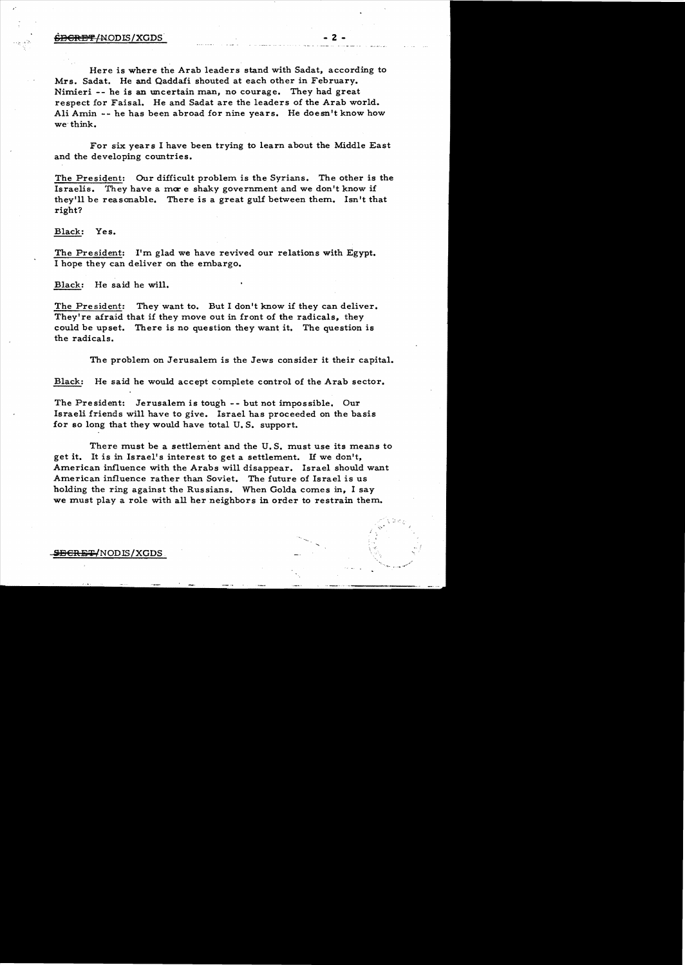Here is where the Arab leaders stand with Sadat. according to Mrs. Sadat. He and Qaddafi shouted at each other in February. Nimieri -- he is an uncertain man, no courage. They had great respect for Faisal. He and Sadat are the leaders of the Arab world. Ali Amin -- he has been abroad for nine years. He doesn't know how we'think.

For six years I have been trying to learn about the Middle East and the developing countries.

The President: Our difficult problem is the Syrians. The other is the Israelis. They have a more shaky government and we don't know if they'll be reasonable. There is a great gulf between them. Isn't that right?

Black: Yes.

The President: I'm glad we have revived our relations with Egypt. I hope they can deliver on the embargo.

Black: He said he will.

The President: They want to. But I don't know if they can deliver. They're afraid that if they move out in front of the radicals, they could be upset. There is no question they want it. The question is the radicals.

The problem on Jerusalem is the Jews consider it their capital.

Black: He said he would accept complete control of the Arab sector.

The President: Jerusalem is tough -- but not impossible. Our Israeli friends will have to give. Israel has proceeded on the basis for so long that they would have total U. S. support.

There must be a settlement and the U.S. must use its means to get it. It is in Israel's interest to get a settlement. If we don't, American influence with the Arabs will disappear. Israel should want American influence rather than Soviet. The future of Israel is us holding the ring against the Russians. When Golda comes in, I say we must play a role with all her neighbors in order to restrain them.

~'.

.<br>مسمولا <sub>ملک</sub>ور ر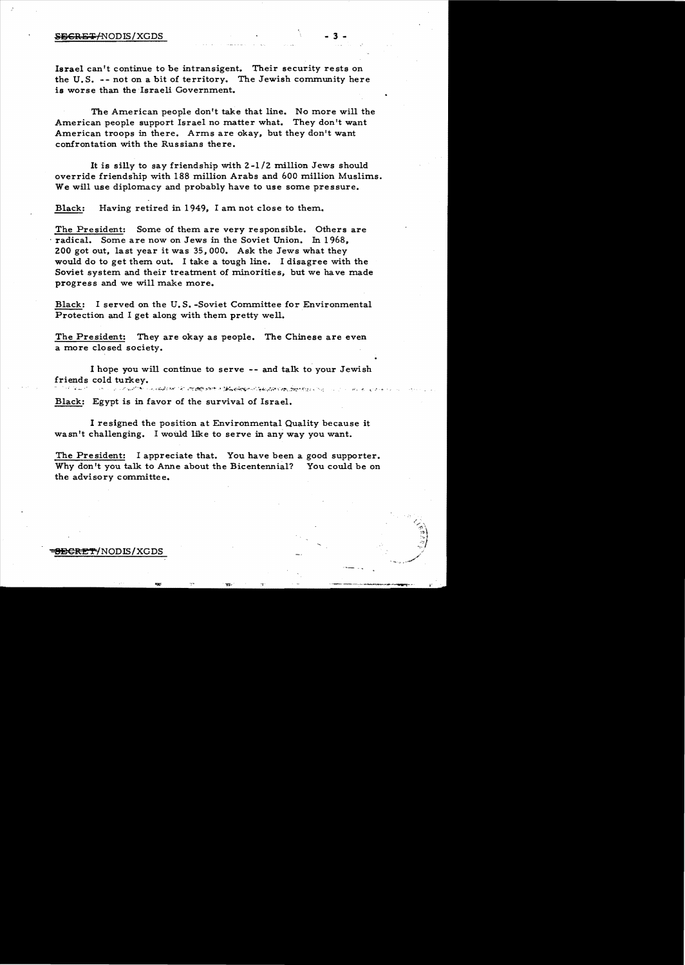### SECRET/NODIS/XGDS

Israel can't continue to be intransigent. Their security rests on the U.S. -- not on a bit of territory. The Jewish community here is worse than the Israeli Government.

The American people don't take that line. No more will the American people support Israel no matter what. They don't want American troops in there. Arms are okay, but they don't want confrontation with the Russians there.

It is silly to say friendship with  $2-1/2$  million Jews should override friendship with 188 million Arabs and 600 million Muslims. We will use diplomacy and probably have to use some pressure.

Black: Having retired in 1949, I am not close to them.

The President: Some of them are very responsible. Others are radical. Some are now on Jews in the Soviet Union. In 1968. 200 got out, last year it was  $35,000$ . Ask the Jews what they would do to get them out. I take a tough line. I disagree with the Soviet system and their treatment of minorities, but we have made progress and we will make more.

Black: I served on the U.S.-Soviet Committee for Environmental Protection and I get along with them pretty well.

The President: They are okay as people. The Chinese are even a more closed society.

I hope you will continue to serve -- and talk to your Jewish friends cold turkey.<br>This is the constant to a second compose the composed of the component of the component of the component of th . . . . . . .  $\mathcal{L}_{\text{max}}$ 

Black: Egypt is in favor of the survival of Israel.

I resigned the position at Environmental Quality because it wasn't challenging. I would like to serve in any way you want.

The President: I appreciate that. You have been a good supporter. Why don't you talk to Anne about the Bicentennial? You could be on the advisory committee.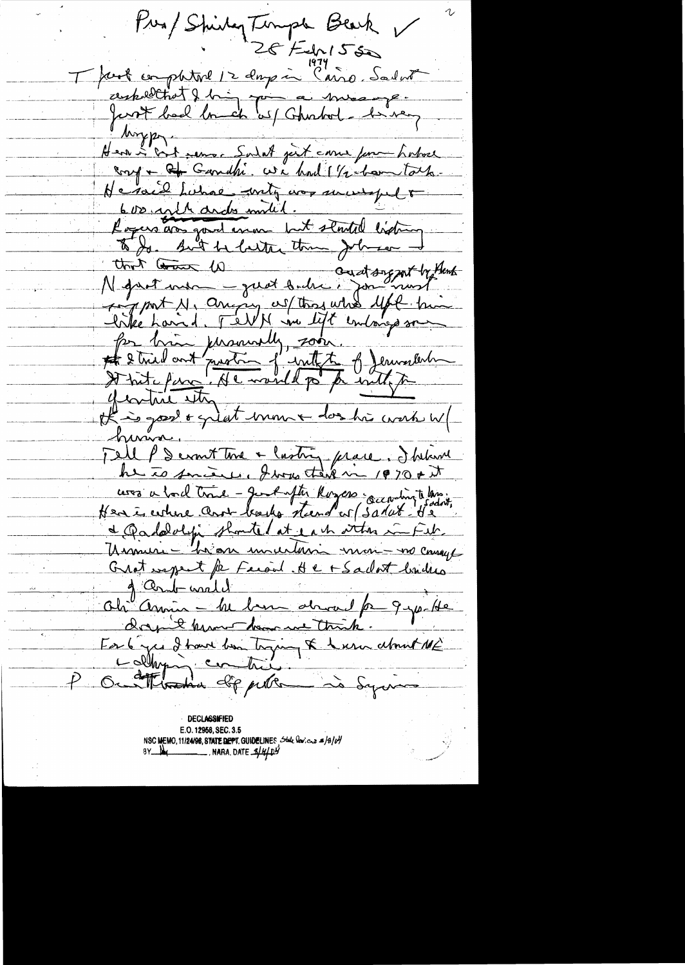Pres/Shirty Timple Beach Thank comptature 12 days in Cairo, Sadud ceskelltat de la gouverne comme Henri Cot sense Saint part come pour habore He said Lunae - unity was surveyed to Logers dos goudemne let started listing To Jo. But he latter than Johnson that the war we sent the most interest of the the is good & griet moment don his work w/ huma. Tell P & court time + lastry prace. I below he to smith, I was that in 1970 + it cers a bord trive - gent after Royces geconomiste lassing & Oadalolys shouted at each other in Feb. Umini - hier unutari mon-ma causa Grat expect for Farand. He + Sadat buildes Oh Amin - M ben drond p 9 po He Earlyce I have been trying & here about ME Lollying contrie. Our theredoe dip peter is Syring

**DECLASSIFIED** E.O. 12958, SEC. 3.5 NSC MEMO, 11/24/98, STATE DEPT. GUIDELINES State Vericus #/3/04  $8Y$   $\frac{N}{4}$  . NARA, DATE  $\frac{4}{4}$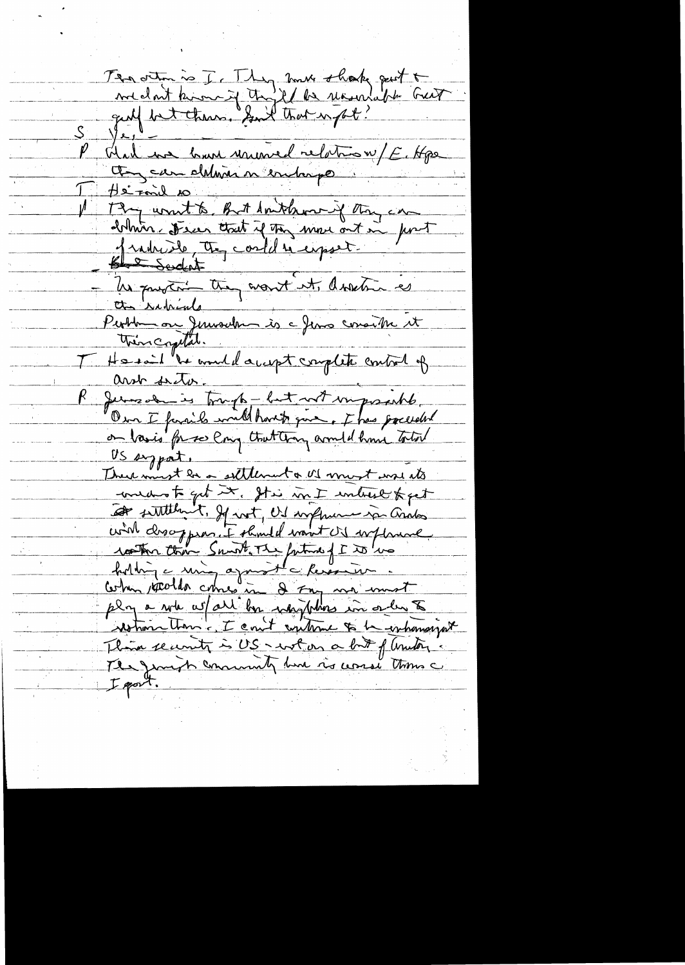The other is I. They must shook put to Ver - bonne unimed relation/E. Hpe Et can deliverer en la po <u>AsiFonil</u> 10 De Ford 20<br>19 unit to But Amthon y the car<br>19 unit to that if the move out in fort ΙÅ Blank Scocket Un pourtre they want it donetime as tto runiale People on Jerusalem is a Jens consider it then copital. He said "he would accept complete control of <u>and frata</u> Jemes de is trough - but not imposable.<br>Our I famile will havet que , I has precedent US sypat. Dreve must be a settlement & US must work ats medio to get it. It is in I intrest feet at suttlement, If not, US implement in and wird drooppear. I should want is withmend rother com Sant The fature of I to los play a whe whall by why who in order to restrance than - I could continue to be inhausigat Them security is US - wol on a but of amount The Jeanst commenty have is usual thousand I gost.